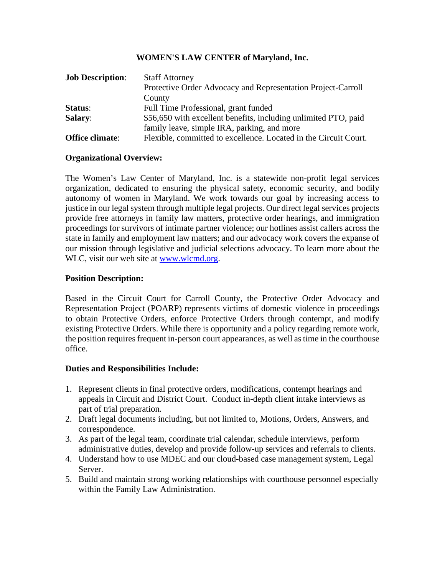## **WOMEN'S LAW CENTER of Maryland, Inc.**

| <b>Job Description:</b> | <b>Staff Attorney</b>                                            |
|-------------------------|------------------------------------------------------------------|
|                         | Protective Order Advocacy and Representation Project-Carroll     |
|                         | County                                                           |
| Status:                 | Full Time Professional, grant funded                             |
| <b>Salary:</b>          | \$56,650 with excellent benefits, including unlimited PTO, paid  |
|                         | family leave, simple IRA, parking, and more                      |
| Office climate:         | Flexible, committed to excellence. Located in the Circuit Court. |

## **Organizational Overview:**

The Women's Law Center of Maryland, Inc. is a statewide non-profit legal services organization, dedicated to ensuring the physical safety, economic security, and bodily autonomy of women in Maryland. We work towards our goal by increasing access to justice in our legal system through multiple legal projects. Our direct legal services projects provide free attorneys in family law matters, protective order hearings, and immigration proceedings for survivors of intimate partner violence; our hotlines assist callers across the state in family and employment law matters; and our advocacy work covers the expanse of our mission through legislative and judicial selections advocacy. To learn more about the WLC, visit our web site at [www.wlcmd.org.](http://www.wlcmd.org/)

#### **Position Description:**

Based in the Circuit Court for Carroll County, the Protective Order Advocacy and Representation Project (POARP) represents victims of domestic violence in proceedings to obtain Protective Orders, enforce Protective Orders through contempt, and modify existing Protective Orders. While there is opportunity and a policy regarding remote work, the position requires frequent in-person court appearances, as well as time in the courthouse office.

## **Duties and Responsibilities Include:**

- 1. Represent clients in final protective orders, modifications, contempt hearings and appeals in Circuit and District Court. Conduct in-depth client intake interviews as part of trial preparation.
- 2. Draft legal documents including, but not limited to, Motions, Orders, Answers, and correspondence.
- 3. As part of the legal team, coordinate trial calendar, schedule interviews, perform administrative duties, develop and provide follow-up services and referrals to clients.
- 4. Understand how to use MDEC and our cloud-based case management system, Legal Server.
- 5. Build and maintain strong working relationships with courthouse personnel especially within the Family Law Administration.